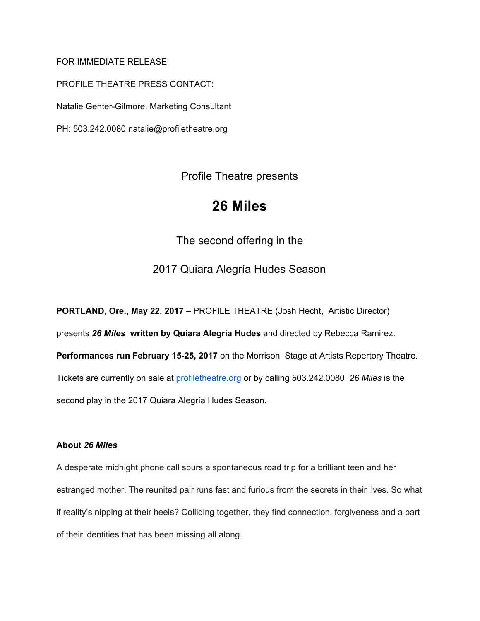## FOR IMMEDIATE RELEASE

PROFILE THEATRE PRESS CONTACT: Natalie Genter-Gilmore, Marketing Consultant PH: 503.242.0080 natalie@profiletheatre.org

Profile Theatre presents

# **26 Miles**

The second offering in the

2017 Quiara Alegría Hudes Season

**PORTLAND, Ore., May 22, 2017** – PROFILE THEATRE (Josh Hecht, Artistic Director) presents *26 Miles* **written by Quiara Alegría Hudes** and directed by Rebecca Ramirez. **Performances run February 15-25, 2017** on the Morrison Stage at Artists Repertory Theatre.

Tickets are currently on sale a[t](http://profiletheatre.org/) [profiletheatre.org](http://profiletheatre.org/) or by calling 503.242.0080. *26 Miles* is the

second play in the 2017 Quiara Alegría Hudes Season.

## **About** *26 Miles*

A desperate midnight phone call spurs a spontaneous road trip for a brilliant teen and her estranged mother. The reunited pair runs fast and furious from the secrets in their lives. So what if reality's nipping at their heels? Colliding together, they find connection, forgiveness and a part of their identities that has been missing all along.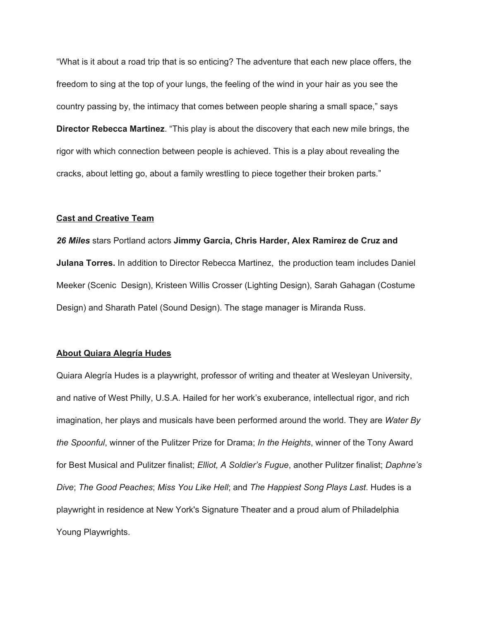"What is it about a road trip that is so enticing? The adventure that each new place offers, the freedom to sing at the top of your lungs, the feeling of the wind in your hair as you see the country passing by, the intimacy that comes between people sharing a small space," says **Director Rebecca Martinez**. "This play is about the discovery that each new mile brings, the rigor with which connection between people is achieved. This is a play about revealing the cracks, about letting go, about a family wrestling to piece together their broken parts."

### **Cast and Creative Team**

*26 Miles* stars Portland actors **Jimmy Garcia, Chris Harder, Alex Ramirez de Cruz and Julana Torres.** In addition to Director Rebecca Martinez, the production team includes Daniel Meeker (Scenic Design), Kristeen Willis Crosser (Lighting Design), Sarah Gahagan (Costume Design) and Sharath Patel (Sound Design). The stage manager is Miranda Russ.

### **About Quiara Alegría Hudes**

Quiara Alegría Hudes is a playwright, professor of writing and theater at Wesleyan University, and native of West Philly, U.S.A. Hailed for her work's exuberance, intellectual rigor, and rich imagination, her plays and musicals have been performed around the world. They are *Water By the Spoonful*, winner of the Pulitzer Prize for Drama; *In the Heights*, winner of the Tony Award for Best Musical and Pulitzer finalist; *Elliot, A Soldier's Fugue*, another Pulitzer finalist; *Daphne's Dive*; *The Good Peaches*; *Miss You Like Hell*; and *The Happiest Song Plays Last*. Hudes is a playwright in residence at New York's Signature Theater and a proud alum of Philadelphia Young Playwrights.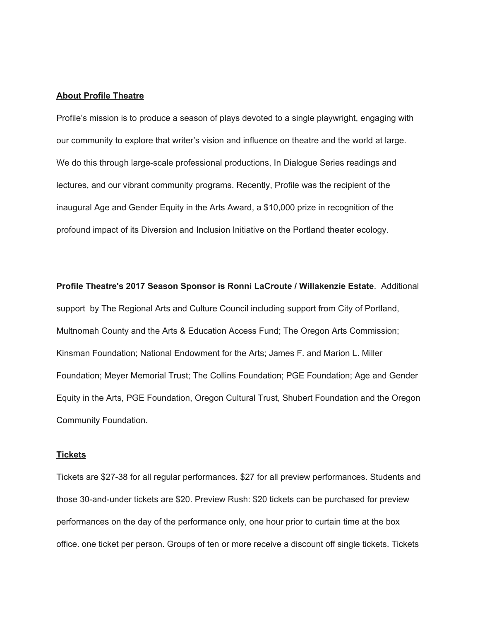#### **About Profile Theatre**

Profile's mission is to produce a season of plays devoted to a single playwright, engaging with our community to explore that writer's vision and influence on theatre and the world at large. We do this through large-scale professional productions, In Dialogue Series readings and lectures, and our vibrant community programs. Recently, Profile was the recipient of the inaugural Age and Gender Equity in the Arts Award, a \$10,000 prize in recognition of the profound impact of its Diversion and Inclusion Initiative on the Portland theater ecology.

**Profile Theatre's 2017 Season Sponsor is Ronni LaCroute / Willakenzie Estate**. Additional support by The Regional Arts and Culture Council including support from City of Portland, Multnomah County and the Arts & Education Access Fund; The Oregon Arts Commission; Kinsman Foundation; National Endowment for the Arts; James F. and Marion L. Miller Foundation; Meyer Memorial Trust; The Collins Foundation; PGE Foundation; Age and Gender Equity in the Arts, PGE Foundation, Oregon Cultural Trust, Shubert Foundation and the Oregon Community Foundation.

#### **Tickets**

Tickets are \$27-38 for all regular performances. \$27 for all preview performances. Students and those 30-and-under tickets are \$20. Preview Rush: \$20 tickets can be purchased for preview performances on the day of the performance only, one hour prior to curtain time at the box office. one ticket per person. Groups of ten or more receive a discount off single tickets. Tickets